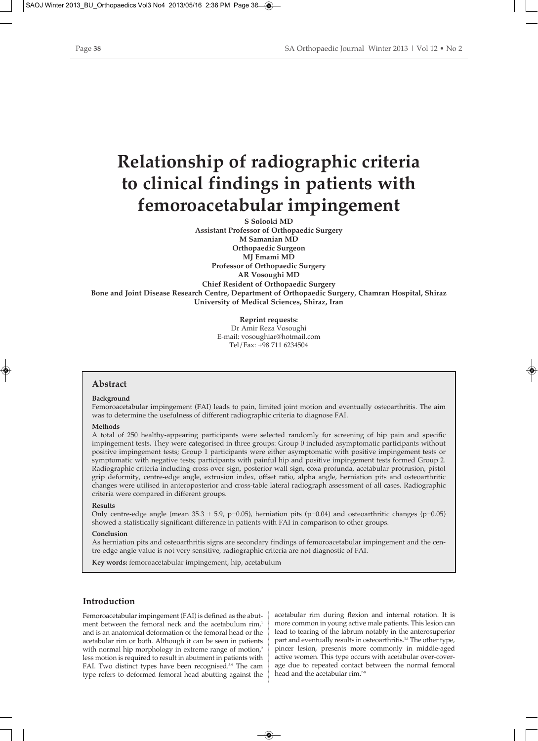# **Relationship of radiographic criteria to clinical findings in patients with femoroacetabular impingement**

**S Solooki MD Assistant Professor of Orthopaedic Surgery M Samanian MD Orthopaedic Surgeon MJ Emami MD Professor of Orthopaedic Surgery AR Vosoughi MD Chief Resident of Orthopaedic Surgery Bone and Joint Disease Research Centre, Department of Orthopaedic Surgery, Chamran Hospital, Shiraz University of Medical Sciences, Shiraz, Iran** 

> **Reprint requests:** Dr Amir Reza Vosoughi E-mail: vosoughiar@hotmail.com Tel/Fax: +98 711 6234504

## **Abstract**

#### **Background**

Femoroacetabular impingement (FAI) leads to pain, limited joint motion and eventually osteoarthritis. The aim was to determine the usefulness of different radiographic criteria to diagnose FAI.

#### **Methods**

A total of 250 healthy-appearing participants were selected randomly for screening of hip pain and specific impingement tests. They were categorised in three groups: Group 0 included asymptomatic participants without positive impingement tests; Group 1 participants were either asymptomatic with positive impingement tests or symptomatic with negative tests; participants with painful hip and positive impingement tests formed Group 2. Radiographic criteria including cross-over sign, posterior wall sign, coxa profunda, acetabular protrusion, pistol grip deformity, centre-edge angle, extrusion index, offset ratio, alpha angle, herniation pits and osteoarthritic changes were utilised in anteroposterior and cross-table lateral radiograph assessment of all cases. Radiographic criteria were compared in different groups.

## **Results**

Only centre-edge angle (mean  $35.3 \pm 5.9$ , p=0.05), herniation pits (p=0.04) and osteoarthritic changes (p=0.05) showed a statistically significant difference in patients with FAI in comparison to other groups.

## **Conclusion**

As herniation pits and osteoarthritis signs are secondary findings of femoroacetabular impingement and the centre-edge angle value is not very sensitive, radiographic criteria are not diagnostic of FAI.

**Key words:** femoroacetabular impingement, hip, acetabulum

## **Introduction**

Femoroacetabular impingement (FAI) is defined as the abutment between the femoral neck and the acetabulum rim,<sup>1</sup> and is an anatomical deformation of the femoral head or the acetabular rim or both. Although it can be seen in patients with normal hip morphology in extreme range of motion,<sup>2</sup> less motion is required to result in abutment in patients with FAI. Two distinct types have been recognised.<sup>3-9</sup> The cam type refers to deformed femoral head abutting against the

acetabular rim during flexion and internal rotation. It is more common in young active male patients. This lesion can lead to tearing of the labrum notably in the anterosuperior part and eventually results in osteoarthritis.<sup>1,4</sup> The other type, pincer lesion, presents more commonly in middle-aged active women. This type occurs with acetabular over-coverage due to repeated contact between the normal femoral head and the acetabular rim.<sup>7-8</sup>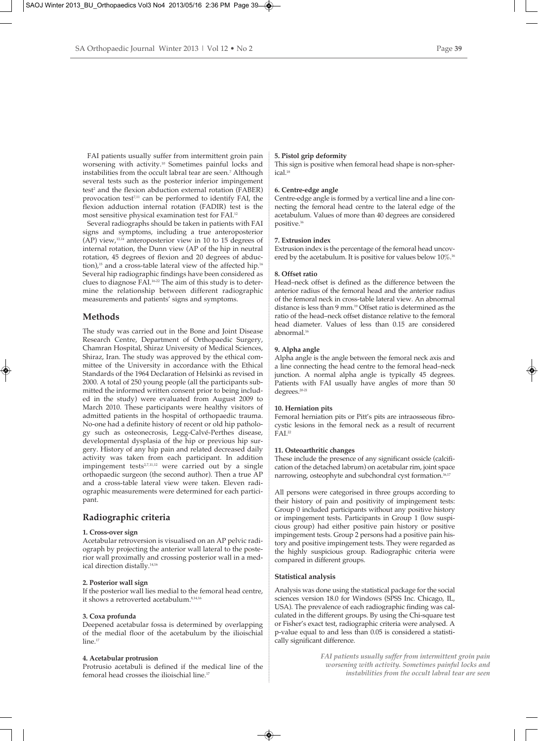FAI patients usually suffer from intermittent groin pain worsening with activity.10 Sometimes painful locks and instabilities from the occult labral tear are seen.<sup>7</sup> Although several tests such as the posterior inferior impingement test<sup>2</sup> and the flexion abduction external rotation (FABER) provocation test $711$  can be performed to identify FAI, the flexion adduction internal rotation (FADIR) test is the most sensitive physical examination test for FAI.12

Several radiographs should be taken in patients with FAI signs and symptoms, including a true anteroposterior (AP) view,13,14 anteroposterior view in 10 to 15 degrees of internal rotation, the Dunn view (AP of the hip in neutral rotation, 45 degrees of flexion and 20 degrees of abduction),<sup>15</sup> and a cross-table lateral view of the affected hip.<sup>16</sup> Several hip radiographic findings have been considered as clues to diagnose FAI.16-22 The aim of this study is to determine the relationship between different radiographic measurements and patients' signs and symptoms.

## **Methods**

The study was carried out in the Bone and Joint Disease Research Centre, Department of Orthopaedic Surgery, Chamran Hospital, Shiraz University of Medical Sciences, Shiraz, Iran. The study was approved by the ethical committee of the University in accordance with the Ethical Standards of the 1964 Declaration of Helsinki as revised in 2000. A total of 250 young people (all the participants submitted the informed written consent prior to being included in the study) were evaluated from August 2009 to March 2010. These participants were healthy visitors of admitted patients in the hospital of orthopaedic trauma. No-one had a definite history of recent or old hip pathology such as osteonecrosis, Legg-Calvé-Perthes disease, developmental dysplasia of the hip or previous hip surgery. History of any hip pain and related decreased daily activity was taken from each participant. In addition impingement tests<sup>2,7,11,12</sup> were carried out by a single orthopaedic surgeon (the second author). Then a true AP and a cross-table lateral view were taken. Eleven radiographic measurements were determined for each participant.

## **Radiographic criteria**

#### **1. Cross-over sign**

Acetabular retroversion is visualised on an AP pelvic radiograph by projecting the anterior wall lateral to the posterior wall proximally and crossing posterior wall in a medical direction distally.14,16

## **2. Posterior wall sign**

If the posterior wall lies medial to the femoral head centre, it shows a retroverted acetabulum.<sup>8,14,16</sup>

#### **3. Coxa profunda**

Deepened acetabular fossa is determined by overlapping of the medial floor of the acetabulum by the ilioischial line.<sup>17</sup>

#### **4. Acetabular protrusion**

Protrusio acetabuli is defined if the medical line of the femoral head crosses the ilioischial line.<sup>17</sup>

#### **5. Pistol grip deformity**

This sign is positive when femoral head shape is non-spherical<sup>18</sup>

## **6. Centre-edge angle**

Centre-edge angle is formed by a vertical line and a line connecting the femoral head centre to the lateral edge of the acetabulum. Values of more than 40 degrees are considered positive.16

#### **7. Extrusion index**

Extrusion index is the percentage of the femoral head uncovered by the acetabulum. It is positive for values below  $10\%$ .<sup>16</sup>

#### **8. Offset ratio**

Head–neck offset is defined as the difference between the anterior radius of the femoral head and the anterior radius of the femoral neck in cross-table lateral view. An abnormal distance is less than 9 mm.<sup>19</sup> Offset ratio is determined as the ratio of the head–neck offset distance relative to the femoral head diameter. Values of less than 0.15 are considered abnormal.16

### **9. Alpha angle**

Alpha angle is the angle between the femoral neck axis and a line connecting the head centre to the femoral head–neck junction. A normal alpha angle is typically 45 degrees. Patients with FAI usually have angles of more than 50 degrees.20-21

#### **10. Herniation pits**

Femoral herniation pits or Pitt's pits are intraosseous fibrocystic lesions in the femoral neck as a result of recurrent  $FAI.<sup>22</sup>$ 

#### **11. Osteoarthritic changes**

These include the presence of any significant ossicle (calcification of the detached labrum) on acetabular rim, joint space narrowing, osteophyte and subchondral cyst formation.<sup>16,17</sup>

All persons were categorised in three groups according to their history of pain and positivity of impingement tests: Group 0 included participants without any positive history or impingement tests. Participants in Group 1 (low suspicious group) had either positive pain history or positive impingement tests. Group 2 persons had a positive pain history and positive impingement tests. They were regarded as the highly suspicious group. Radiographic criteria were compared in different groups.

#### **Statistical analysis**

Analysis was done using the statistical package for the social sciences version 18.0 for Windows (SPSS Inc. Chicago, IL, USA). The prevalence of each radiographic finding was calculated in the different groups. By using the Chi-square test or Fisher's exact test, radiographic criteria were analysed. A p-value equal to and less than 0.05 is considered a statistically significant difference.

> *FAI patients usually suffer from intermittent groin pain worsening with activity. Sometimes painful locks and instabilities from the occult labral tear are seen*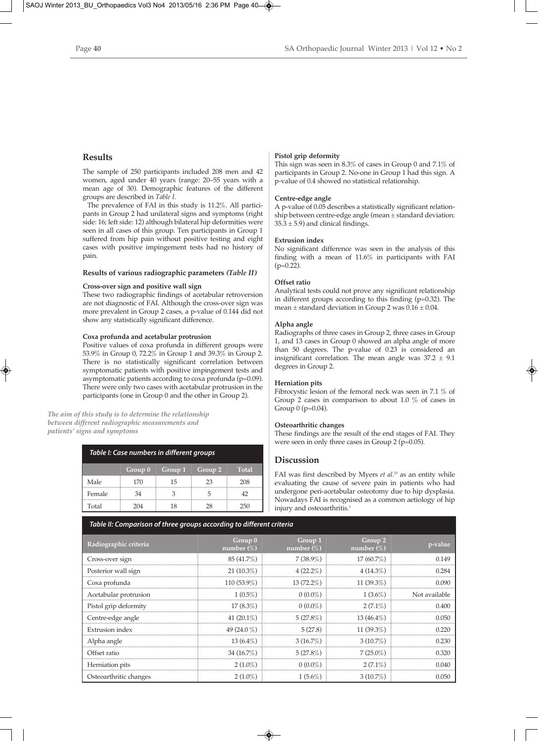# **Results**

The sample of 250 participants included 208 men and 42 women, aged under 40 years (range: 20–55 years with a mean age of 30). Demographic features of the different groups are described in *Table I*.

The prevalence of FAI in this study is 11.2%. All participants in Group 2 had unilateral signs and symptoms (right side: 16; left side: 12) although bilateral hip deformities were seen in all cases of this group. Ten participants in Group 1 suffered from hip pain without positive testing and eight cases with positive impingement tests had no history of pain.

## **Results of various radiographic parameters** *(Table II)*

## **Cross-over sign and positive wall sign**

These two radiographic findings of acetabular retroversion are not diagnostic of FAI. Although the cross-over sign was more prevalent in Group 2 cases, a p-value of 0.144 did not show any statistically significant difference.

## **Coxa profunda and acetabular protrusion**

Positive values of coxa profunda in different groups were 53.9% in Group 0, 72.2% in Group 1 and 39.3% in Group 2. There is no statistically significant correlation between symptomatic patients with positive impingement tests and asymptomatic patients according to coxa profunda (p=0.09). There were only two cases with acetabular protrusion in the participants (one in Group 0 and the other in Group 2).

*The aim of this study is to determine the relationship between different radiographic measurements and patients' signs and symptoms*

| Table I: Case numbers in different groups |         |                        |    |              |  |  |  |
|-------------------------------------------|---------|------------------------|----|--------------|--|--|--|
|                                           | Group 0 | Group $1 \mid$ Group 2 |    | <b>Total</b> |  |  |  |
| Male                                      | 170     | 15                     | 23 | 208          |  |  |  |
| Female                                    |         |                        |    |              |  |  |  |
| Total                                     |         |                        |    |              |  |  |  |

## **Pistol grip deformity**

This sign was seen in 8.3% of cases in Group 0 and 7.1% of participants in Group 2. No-one in Group 1 had this sign. A p-value of 0.4 showed no statistical relationship.

## **Centre-edge angle**

A p-value of 0.05 describes a statistically significant relationship between centre-edge angle (mean ± standard deviation:  $35.3 \pm 5.9$ ) and clinical findings.

## **Extrusion index**

No significant difference was seen in the analysis of this finding with a mean of 11.6% in participants with FAI  $(p=0.22)$ .

## **Offset ratio**

Analytical tests could not prove any significant relationship in different groups according to this finding (p=0.32). The mean  $\pm$  standard deviation in Group 2 was  $0.16 \pm 0.04$ .

## **Alpha angle**

Radiographs of three cases in Group 2, three cases in Group 1, and 13 cases in Group 0 showed an alpha angle of more than 50 degrees. The p-value of 0.23 is considered an insignificant correlation. The mean angle was  $37.2 \pm 9.1$ degrees in Group 2.

## **Herniation pits**

Fibrocystic lesion of the femoral neck was seen in 7.1 % of Group 2 cases in comparison to about 1.0 % of cases in Group 0 (p=0.04).

## **Osteoarthritic changes**

These findings are the result of the end stages of FAI. They were seen in only three cases in Group 2 (p=0.05).

## **Discussion**

FAI was first described by Myers *et al.*<sup>23</sup> as an entity while evaluating the cause of severe pain in patients who had undergone peri-acetabular osteotomy due to hip dysplasia. Nowadays FAI is recognised as a common aetiology of hip injury and osteoarthritis.<sup>1</sup>

# *Table II: Comparison of three groups according to different criteria*

| Radiographic criteria  | Group 0<br>number $(\%)$ | Group 1<br>number $(\%)$ | Group 2<br>number $(\%)$ | p-value       |
|------------------------|--------------------------|--------------------------|--------------------------|---------------|
| Cross-over sign        | 85 (41.7%)               | $7(38.9\%)$              | $17(60.7\%)$             | 0.149         |
| Posterior wall sign    | $21(10.3\%)$             | $4(22.2\%)$              | $4(14.3\%)$              | 0.284         |
| Coxa profunda          | $110(53.9\%)$            | $13(72.2\%)$             | 11 $(39.3\%)$            | 0.090         |
| Acetabular protrusion  | $1(0.5\%)$               | $0(0.0\%)$               | $1(3.6\%)$               | Not available |
| Pistol grip deformity  | $17(8.3\%)$              | $0(0.0\%)$               | $2(7.1\%)$               | 0.400         |
| Centre-edge angle      | 41 $(20.1\%)$            | $5(27.8\%)$              | $13(46.4\%)$             | 0.050         |
| <b>Extrusion</b> index | 49 $(24.0\%)$            | 5(27.8)                  | 11 $(39.3\%)$            | 0.220         |
| Alpha angle            | $13(6.4\%)$              | $3(16.7\%)$              | $3(10.7\%)$              | 0.230         |
| Offset ratio           | 34 $(16.7\%)$            | 5(27.8%)                 | $7(25.0\%)$              | 0.320         |
| Herniation pits        | $2(1.0\%)$               | $0(0.0\%)$               | $2(7.1\%)$               | 0.040         |
| Osteoarthritic changes | $2(1.0\%)$               | $1(5.6\%)$               | $3(10.7\%)$              | 0.050         |